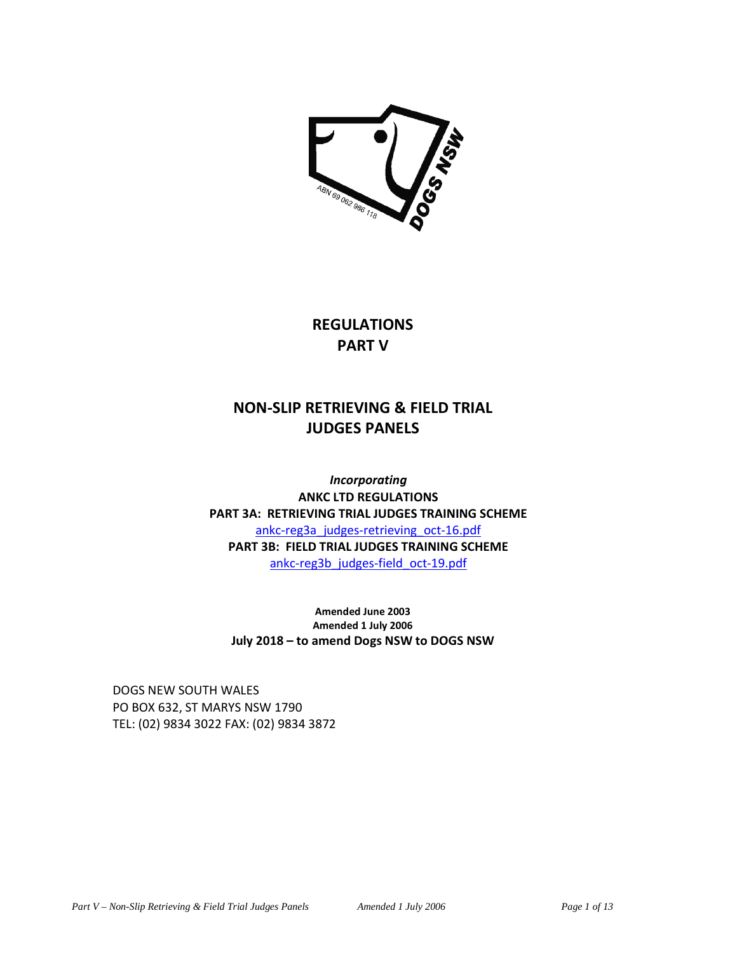

**REGULATIONS PART V** 

# **NON-SLIP RETRIEVING & FIELD TRIAL JUDGES PANELS**

*Incorporating*  **ANKC LTD REGULATIONS PART 3A: RETRIEVING TRIAL JUDGES TRAINING SCHEME**  ankc-reg3a\_judges-retrieving\_oct-16.pdf **PART 3B: FIELD TRIAL JUDGES TRAINING SCHEME**  ankc-reg3b\_judges-field\_oct-19.pdf

**Amended June 2003 Amended 1 July 2006 July 2018 – to amend Dogs NSW to DOGS NSW** 

DOGS NEW SOUTH WALES PO BOX 632, ST MARYS NSW 1790 TEL: (02) 9834 3022 FAX: (02) 9834 3872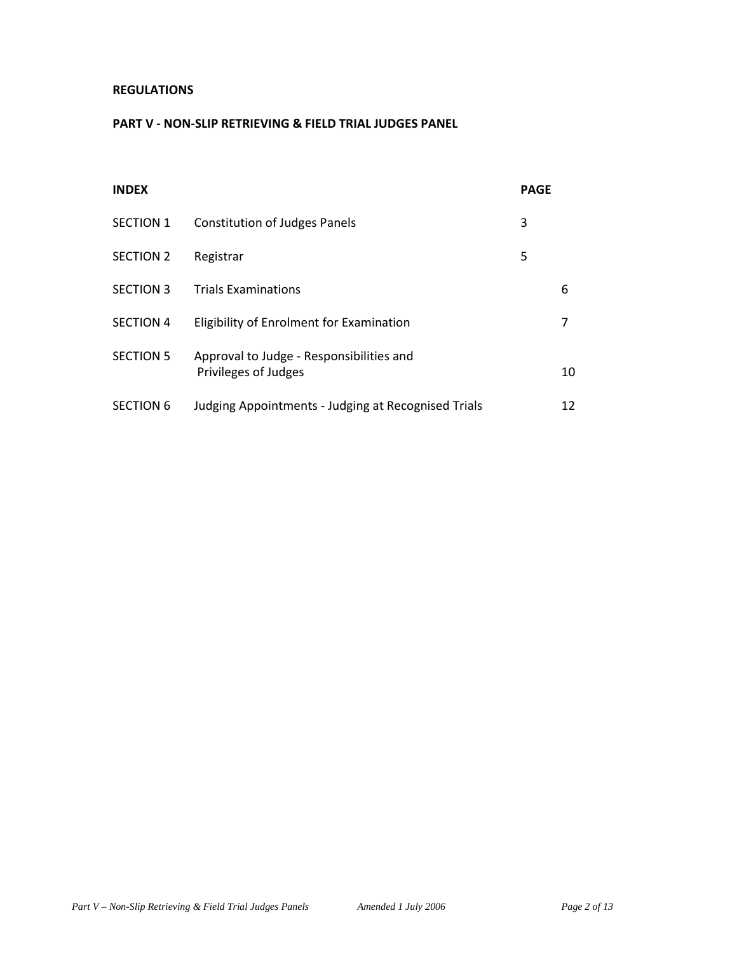## **REGULATIONS**

## **PART V - NON-SLIP RETRIEVING & FIELD TRIAL JUDGES PANEL**

| <b>INDEX</b>     |                                                                  | <b>PAGE</b> |    |
|------------------|------------------------------------------------------------------|-------------|----|
| <b>SECTION 1</b> | <b>Constitution of Judges Panels</b>                             | 3           |    |
| <b>SECTION 2</b> | Registrar                                                        | 5           |    |
| <b>SECTION 3</b> | <b>Trials Examinations</b>                                       |             | 6  |
| <b>SECTION 4</b> | Eligibility of Enrolment for Examination                         |             |    |
| <b>SECTION 5</b> | Approval to Judge - Responsibilities and<br>Privileges of Judges |             | 10 |
| <b>SECTION 6</b> | Judging Appointments - Judging at Recognised Trials              |             | 12 |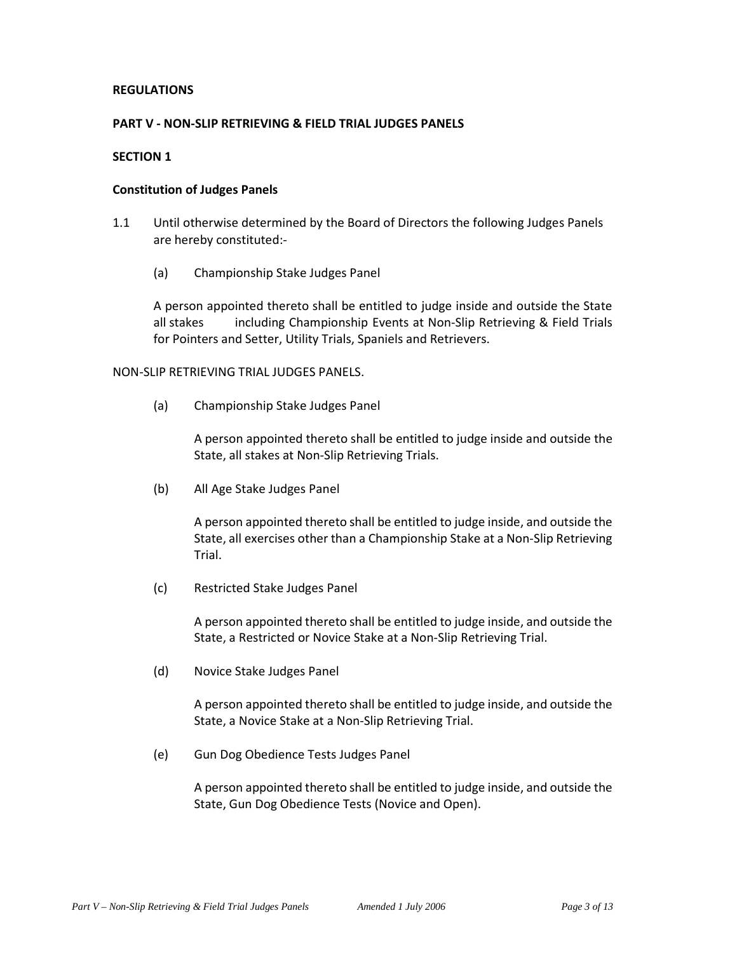## **REGULATIONS**

## **PART V - NON-SLIP RETRIEVING & FIELD TRIAL JUDGES PANELS**

## **SECTION 1**

#### **Constitution of Judges Panels**

- 1.1 Until otherwise determined by the Board of Directors the following Judges Panels are hereby constituted:-
	- (a) Championship Stake Judges Panel

A person appointed thereto shall be entitled to judge inside and outside the State all stakes including Championship Events at Non-Slip Retrieving & Field Trials for Pointers and Setter, Utility Trials, Spaniels and Retrievers.

NON-SLIP RETRIEVING TRIAL JUDGES PANELS.

(a) Championship Stake Judges Panel

A person appointed thereto shall be entitled to judge inside and outside the State, all stakes at Non-Slip Retrieving Trials.

(b) All Age Stake Judges Panel

A person appointed thereto shall be entitled to judge inside, and outside the State, all exercises other than a Championship Stake at a Non-Slip Retrieving Trial.

(c) Restricted Stake Judges Panel

A person appointed thereto shall be entitled to judge inside, and outside the State, a Restricted or Novice Stake at a Non-Slip Retrieving Trial.

(d) Novice Stake Judges Panel

A person appointed thereto shall be entitled to judge inside, and outside the State, a Novice Stake at a Non-Slip Retrieving Trial.

(e) Gun Dog Obedience Tests Judges Panel

A person appointed thereto shall be entitled to judge inside, and outside the State, Gun Dog Obedience Tests (Novice and Open).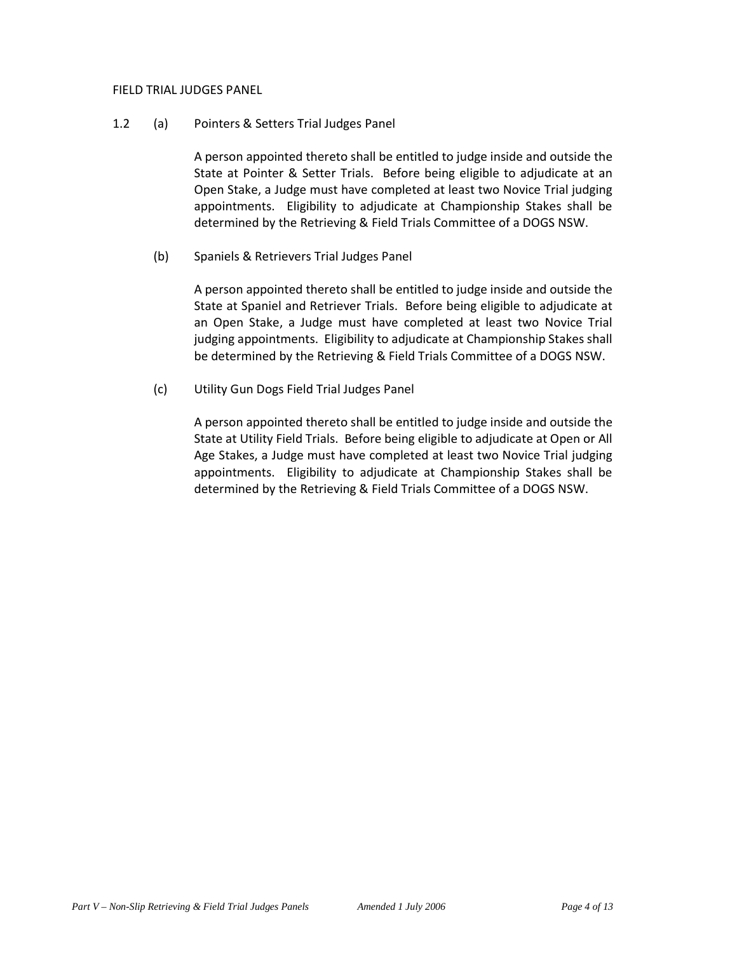#### FIELD TRIAL JUDGES PANEL

#### 1.2 (a) Pointers & Setters Trial Judges Panel

A person appointed thereto shall be entitled to judge inside and outside the State at Pointer & Setter Trials. Before being eligible to adjudicate at an Open Stake, a Judge must have completed at least two Novice Trial judging appointments. Eligibility to adjudicate at Championship Stakes shall be determined by the Retrieving & Field Trials Committee of a DOGS NSW.

## (b) Spaniels & Retrievers Trial Judges Panel

 A person appointed thereto shall be entitled to judge inside and outside the State at Spaniel and Retriever Trials. Before being eligible to adjudicate at an Open Stake, a Judge must have completed at least two Novice Trial judging appointments. Eligibility to adjudicate at Championship Stakes shall be determined by the Retrieving & Field Trials Committee of a DOGS NSW.

(c) Utility Gun Dogs Field Trial Judges Panel

A person appointed thereto shall be entitled to judge inside and outside the State at Utility Field Trials. Before being eligible to adjudicate at Open or All Age Stakes, a Judge must have completed at least two Novice Trial judging appointments. Eligibility to adjudicate at Championship Stakes shall be determined by the Retrieving & Field Trials Committee of a DOGS NSW.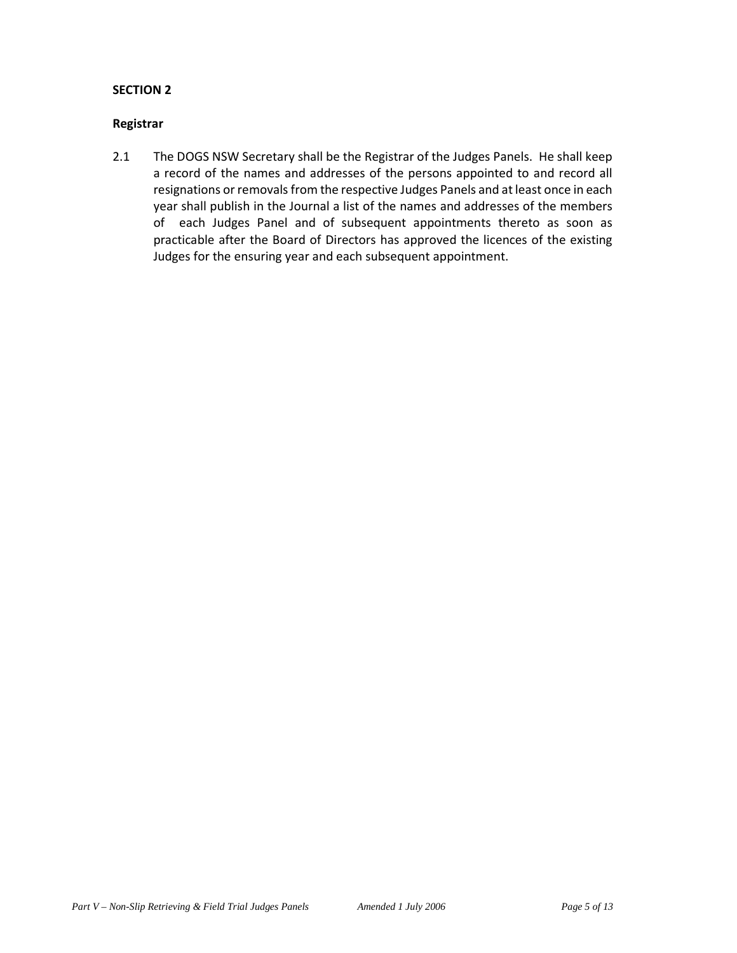#### **Registrar**

2.1 The DOGS NSW Secretary shall be the Registrar of the Judges Panels. He shall keep a record of the names and addresses of the persons appointed to and record all resignations or removals from the respective Judges Panels and at least once in each year shall publish in the Journal a list of the names and addresses of the members of each Judges Panel and of subsequent appointments thereto as soon as practicable after the Board of Directors has approved the licences of the existing Judges for the ensuring year and each subsequent appointment.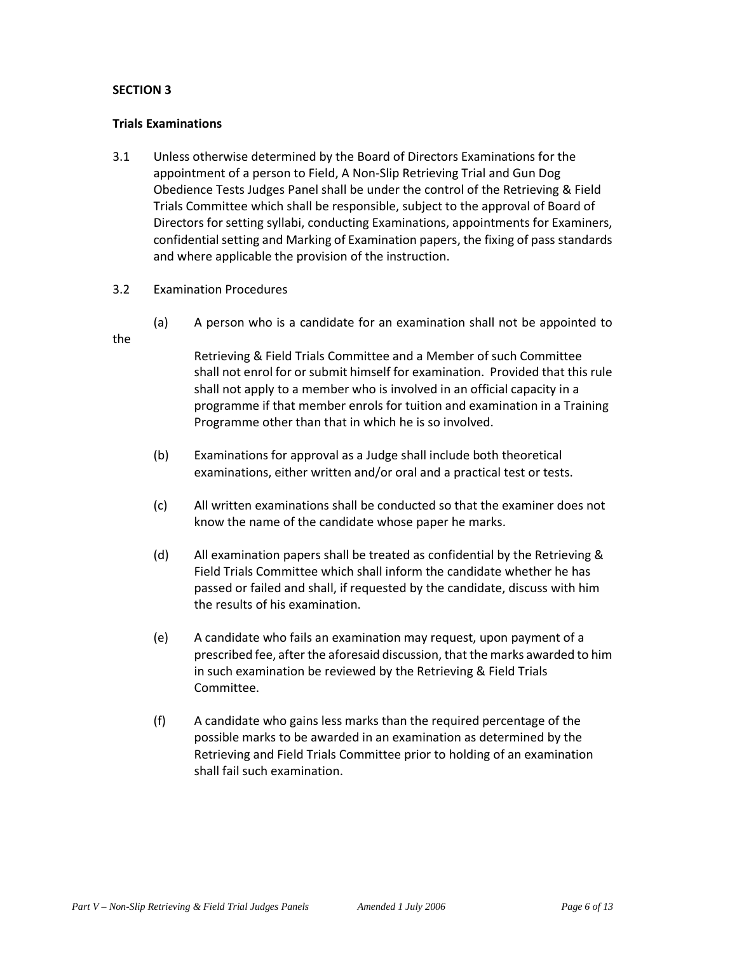#### **Trials Examinations**

- 3.1 Unless otherwise determined by the Board of Directors Examinations for the appointment of a person to Field, A Non-Slip Retrieving Trial and Gun Dog Obedience Tests Judges Panel shall be under the control of the Retrieving & Field Trials Committee which shall be responsible, subject to the approval of Board of Directors for setting syllabi, conducting Examinations, appointments for Examiners, confidential setting and Marking of Examination papers, the fixing of pass standards and where applicable the provision of the instruction.
- 3.2 Examination Procedures
	- (a) A person who is a candidate for an examination shall not be appointed to

the

Retrieving & Field Trials Committee and a Member of such Committee shall not enrol for or submit himself for examination. Provided that this rule shall not apply to a member who is involved in an official capacity in a programme if that member enrols for tuition and examination in a Training Programme other than that in which he is so involved.

- (b) Examinations for approval as a Judge shall include both theoretical examinations, either written and/or oral and a practical test or tests.
- (c) All written examinations shall be conducted so that the examiner does not know the name of the candidate whose paper he marks.
- (d) All examination papers shall be treated as confidential by the Retrieving & Field Trials Committee which shall inform the candidate whether he has passed or failed and shall, if requested by the candidate, discuss with him the results of his examination.
- (e) A candidate who fails an examination may request, upon payment of a prescribed fee, after the aforesaid discussion, that the marks awarded to him in such examination be reviewed by the Retrieving & Field Trials Committee.
- (f) A candidate who gains less marks than the required percentage of the possible marks to be awarded in an examination as determined by the Retrieving and Field Trials Committee prior to holding of an examination shall fail such examination.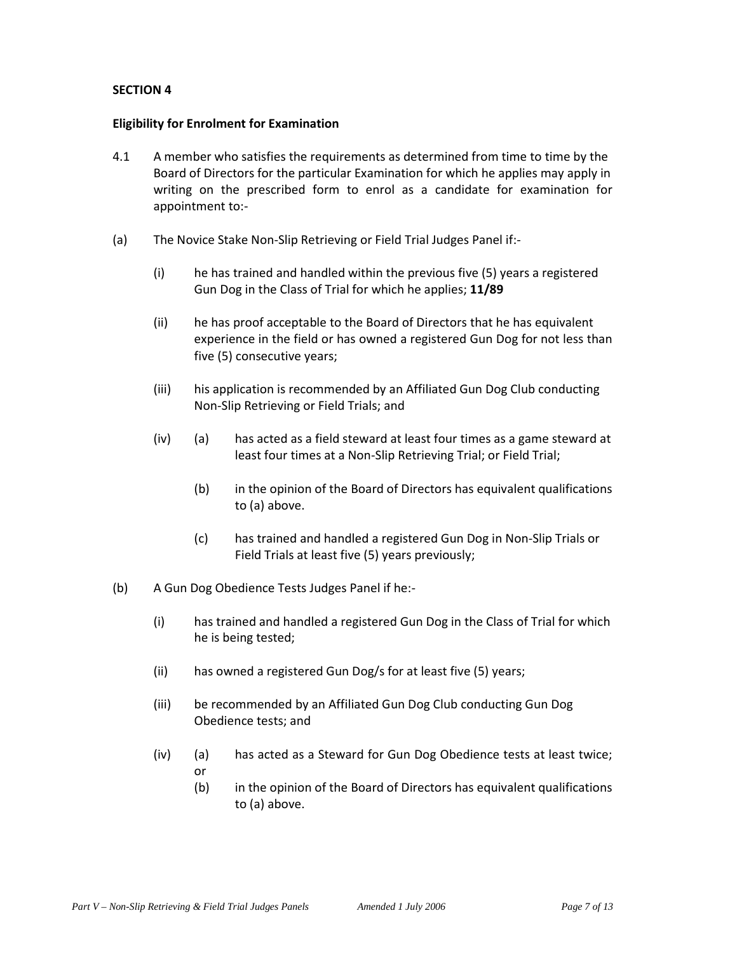#### **Eligibility for Enrolment for Examination**

- 4.1 A member who satisfies the requirements as determined from time to time by the Board of Directors for the particular Examination for which he applies may apply in writing on the prescribed form to enrol as a candidate for examination for appointment to:-
- (a) The Novice Stake Non-Slip Retrieving or Field Trial Judges Panel if:-
	- (i) he has trained and handled within the previous five (5) years a registered Gun Dog in the Class of Trial for which he applies; **11/89**
	- (ii) he has proof acceptable to the Board of Directors that he has equivalent experience in the field or has owned a registered Gun Dog for not less than five (5) consecutive years;
	- (iii) his application is recommended by an Affiliated Gun Dog Club conducting Non-Slip Retrieving or Field Trials; and
	- (iv) (a) has acted as a field steward at least four times as a game steward at least four times at a Non-Slip Retrieving Trial; or Field Trial;
		- (b) in the opinion of the Board of Directors has equivalent qualifications to (a) above.
		- (c) has trained and handled a registered Gun Dog in Non-Slip Trials or Field Trials at least five (5) years previously;
- (b) A Gun Dog Obedience Tests Judges Panel if he:-
	- (i) has trained and handled a registered Gun Dog in the Class of Trial for which he is being tested;
	- (ii) has owned a registered Gun Dog/s for at least five (5) years;
	- (iii) be recommended by an Affiliated Gun Dog Club conducting Gun Dog Obedience tests; and
	- (iv) (a) has acted as a Steward for Gun Dog Obedience tests at least twice; or
		- (b) in the opinion of the Board of Directors has equivalent qualifications to (a) above.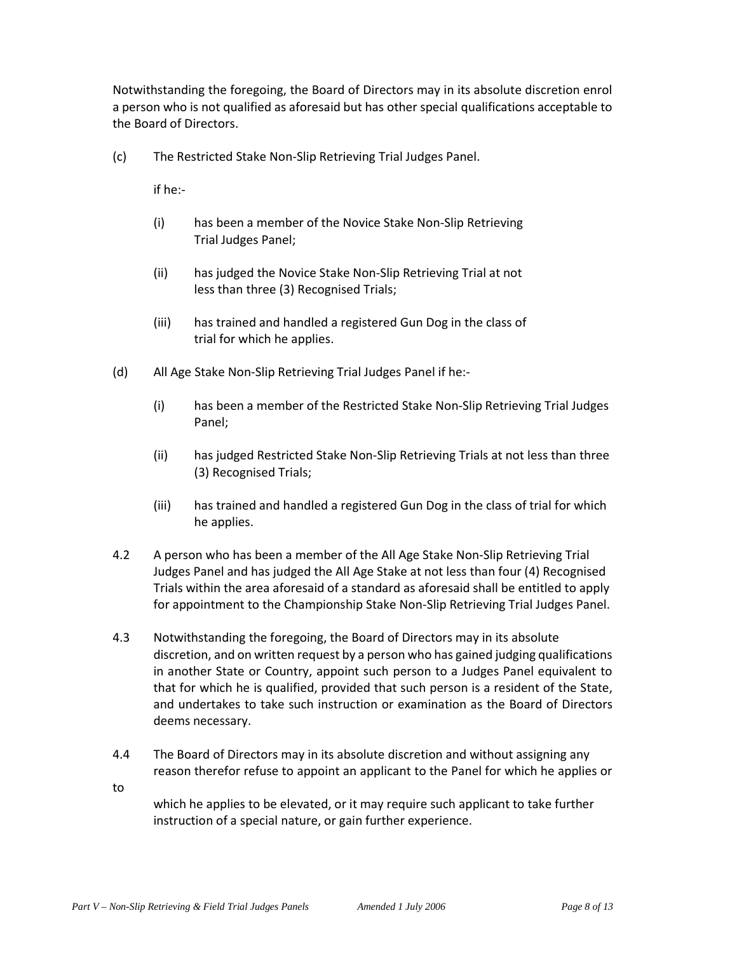Notwithstanding the foregoing, the Board of Directors may in its absolute discretion enrol a person who is not qualified as aforesaid but has other special qualifications acceptable to the Board of Directors.

(c) The Restricted Stake Non-Slip Retrieving Trial Judges Panel.

if he:-

- (i) has been a member of the Novice Stake Non-Slip Retrieving Trial Judges Panel;
- (ii) has judged the Novice Stake Non-Slip Retrieving Trial at not less than three (3) Recognised Trials;
- (iii) has trained and handled a registered Gun Dog in the class of trial for which he applies.
- (d) All Age Stake Non-Slip Retrieving Trial Judges Panel if he:-
	- (i) has been a member of the Restricted Stake Non-Slip Retrieving Trial Judges Panel;
	- (ii) has judged Restricted Stake Non-Slip Retrieving Trials at not less than three (3) Recognised Trials;
	- (iii) has trained and handled a registered Gun Dog in the class of trial for which he applies.
- 4.2 A person who has been a member of the All Age Stake Non-Slip Retrieving Trial Judges Panel and has judged the All Age Stake at not less than four (4) Recognised Trials within the area aforesaid of a standard as aforesaid shall be entitled to apply for appointment to the Championship Stake Non-Slip Retrieving Trial Judges Panel.
- 4.3 Notwithstanding the foregoing, the Board of Directors may in its absolute discretion, and on written request by a person who has gained judging qualifications in another State or Country, appoint such person to a Judges Panel equivalent to that for which he is qualified, provided that such person is a resident of the State, and undertakes to take such instruction or examination as the Board of Directors deems necessary.
- 4.4 The Board of Directors may in its absolute discretion and without assigning any reason therefor refuse to appoint an applicant to the Panel for which he applies or

to

which he applies to be elevated, or it may require such applicant to take further instruction of a special nature, or gain further experience.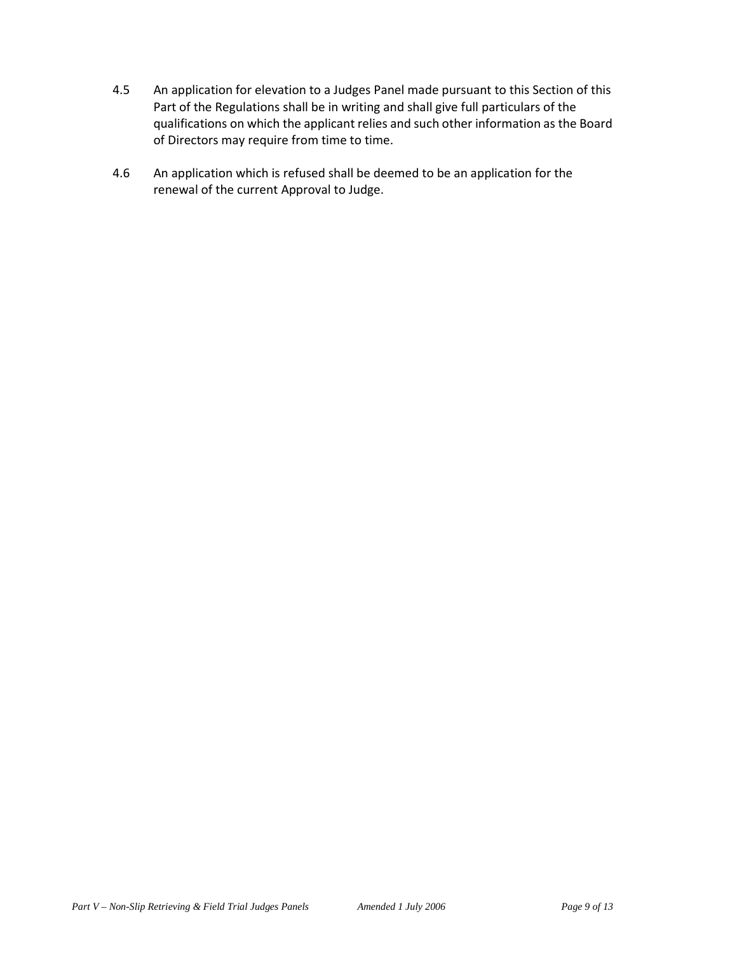- 4.5 An application for elevation to a Judges Panel made pursuant to this Section of this Part of the Regulations shall be in writing and shall give full particulars of the qualifications on which the applicant relies and such other information as the Board of Directors may require from time to time.
- 4.6 An application which is refused shall be deemed to be an application for the renewal of the current Approval to Judge.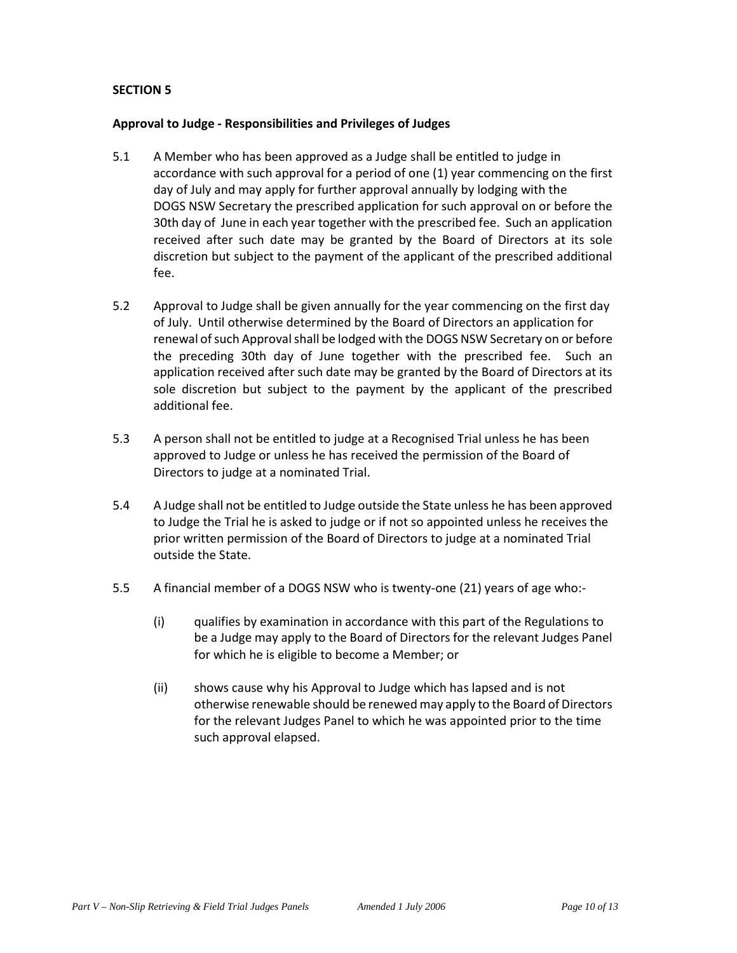## **Approval to Judge - Responsibilities and Privileges of Judges**

- 5.1 A Member who has been approved as a Judge shall be entitled to judge in accordance with such approval for a period of one (1) year commencing on the first day of July and may apply for further approval annually by lodging with the DOGS NSW Secretary the prescribed application for such approval on or before the 30th day of June in each year together with the prescribed fee. Such an application received after such date may be granted by the Board of Directors at its sole discretion but subject to the payment of the applicant of the prescribed additional fee.
- 5.2 Approval to Judge shall be given annually for the year commencing on the first day of July. Until otherwise determined by the Board of Directors an application for renewal of such Approval shall be lodged with the DOGS NSW Secretary on or before the preceding 30th day of June together with the prescribed fee. Such an application received after such date may be granted by the Board of Directors at its sole discretion but subject to the payment by the applicant of the prescribed additional fee.
- 5.3 A person shall not be entitled to judge at a Recognised Trial unless he has been approved to Judge or unless he has received the permission of the Board of Directors to judge at a nominated Trial.
- 5.4 A Judge shall not be entitled to Judge outside the State unless he has been approved to Judge the Trial he is asked to judge or if not so appointed unless he receives the prior written permission of the Board of Directors to judge at a nominated Trial outside the State.
- 5.5 A financial member of a DOGS NSW who is twenty-one (21) years of age who:-
	- (i) qualifies by examination in accordance with this part of the Regulations to be a Judge may apply to the Board of Directors for the relevant Judges Panel for which he is eligible to become a Member; or
	- (ii) shows cause why his Approval to Judge which has lapsed and is not otherwise renewable should be renewed may apply to the Board of Directors for the relevant Judges Panel to which he was appointed prior to the time such approval elapsed.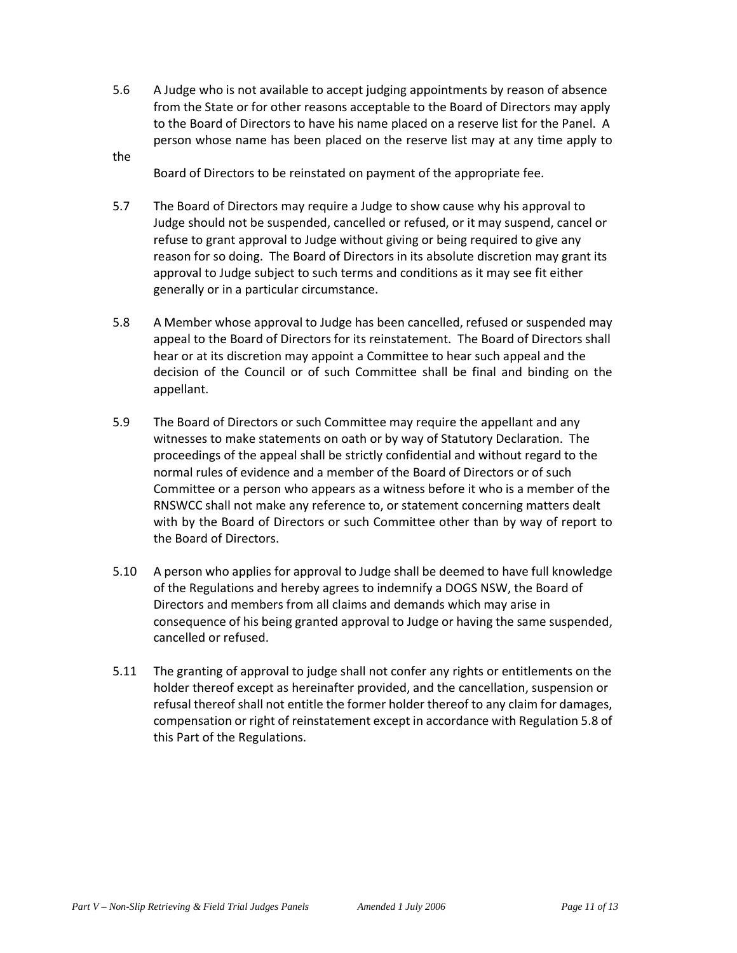- 5.6 A Judge who is not available to accept judging appointments by reason of absence from the State or for other reasons acceptable to the Board of Directors may apply to the Board of Directors to have his name placed on a reserve list for the Panel. A person whose name has been placed on the reserve list may at any time apply to
- the

Board of Directors to be reinstated on payment of the appropriate fee.

- 5.7 The Board of Directors may require a Judge to show cause why his approval to Judge should not be suspended, cancelled or refused, or it may suspend, cancel or refuse to grant approval to Judge without giving or being required to give any reason for so doing. The Board of Directors in its absolute discretion may grant its approval to Judge subject to such terms and conditions as it may see fit either generally or in a particular circumstance.
- 5.8 A Member whose approval to Judge has been cancelled, refused or suspended may appeal to the Board of Directors for its reinstatement. The Board of Directors shall hear or at its discretion may appoint a Committee to hear such appeal and the decision of the Council or of such Committee shall be final and binding on the appellant.
- 5.9 The Board of Directors or such Committee may require the appellant and any witnesses to make statements on oath or by way of Statutory Declaration. The proceedings of the appeal shall be strictly confidential and without regard to the normal rules of evidence and a member of the Board of Directors or of such Committee or a person who appears as a witness before it who is a member of the RNSWCC shall not make any reference to, or statement concerning matters dealt with by the Board of Directors or such Committee other than by way of report to the Board of Directors.
- 5.10 A person who applies for approval to Judge shall be deemed to have full knowledge of the Regulations and hereby agrees to indemnify a DOGS NSW, the Board of Directors and members from all claims and demands which may arise in consequence of his being granted approval to Judge or having the same suspended, cancelled or refused.
- 5.11 The granting of approval to judge shall not confer any rights or entitlements on the holder thereof except as hereinafter provided, and the cancellation, suspension or refusal thereof shall not entitle the former holder thereof to any claim for damages, compensation or right of reinstatement except in accordance with Regulation 5.8 of this Part of the Regulations.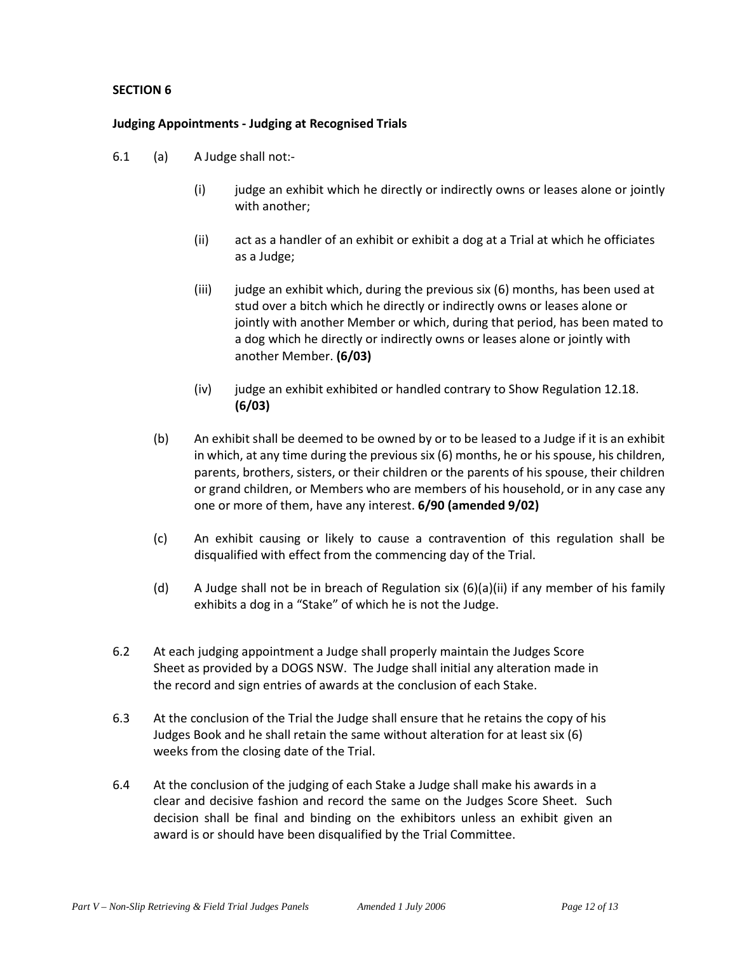#### **Judging Appointments - Judging at Recognised Trials**

- 6.1 (a) A Judge shall not:-
	- (i) judge an exhibit which he directly or indirectly owns or leases alone or jointly with another;
	- (ii) act as a handler of an exhibit or exhibit a dog at a Trial at which he officiates as a Judge;
	- (iii) judge an exhibit which, during the previous six (6) months, has been used at stud over a bitch which he directly or indirectly owns or leases alone or jointly with another Member or which, during that period, has been mated to a dog which he directly or indirectly owns or leases alone or jointly with another Member. **(6/03)**
	- (iv) judge an exhibit exhibited or handled contrary to Show Regulation 12.18. **(6/03)**
	- (b) An exhibit shall be deemed to be owned by or to be leased to a Judge if it is an exhibit in which, at any time during the previous six (6) months, he or his spouse, his children, parents, brothers, sisters, or their children or the parents of his spouse, their children or grand children, or Members who are members of his household, or in any case any one or more of them, have any interest. **6/90 (amended 9/02)**
	- (c) An exhibit causing or likely to cause a contravention of this regulation shall be disqualified with effect from the commencing day of the Trial.
	- (d) A Judge shall not be in breach of Regulation six (6)(a)(ii) if any member of his family exhibits a dog in a "Stake" of which he is not the Judge.
- 6.2 At each judging appointment a Judge shall properly maintain the Judges Score Sheet as provided by a DOGS NSW. The Judge shall initial any alteration made in the record and sign entries of awards at the conclusion of each Stake.
- 6.3 At the conclusion of the Trial the Judge shall ensure that he retains the copy of his Judges Book and he shall retain the same without alteration for at least six (6) weeks from the closing date of the Trial.
- 6.4 At the conclusion of the judging of each Stake a Judge shall make his awards in a clear and decisive fashion and record the same on the Judges Score Sheet. Such decision shall be final and binding on the exhibitors unless an exhibit given an award is or should have been disqualified by the Trial Committee.